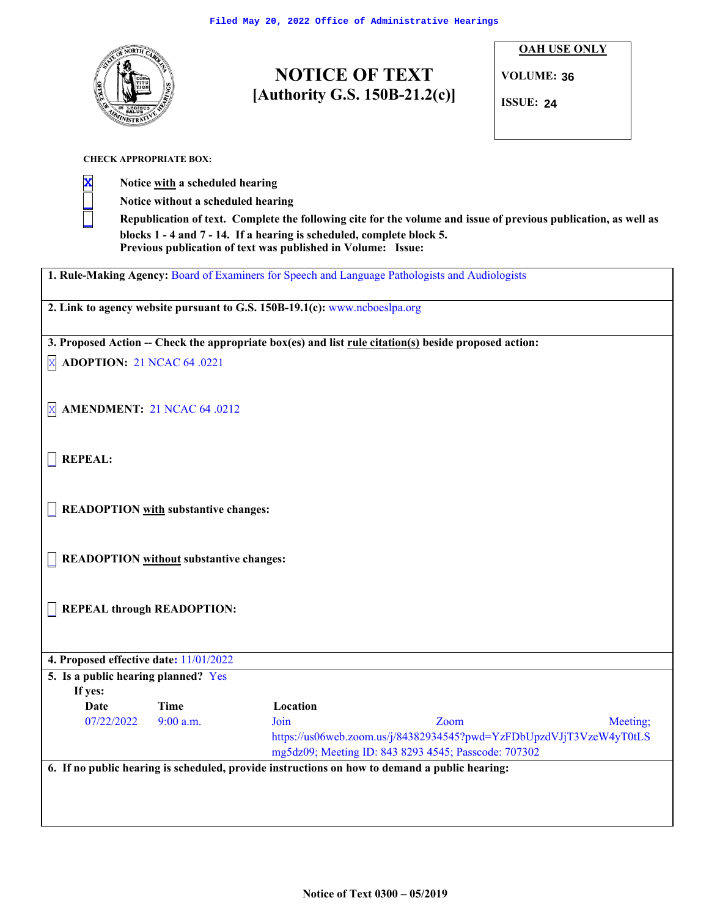

# **NOTICE OF TEXT [Authority G.S. 150B-21.2(c)]** Filed May 20, 2022 Office of Administrative Hearings<br> **2444 IV ROTICE OF TEXT**<br>
[Authority G.S. 150B-21.2(c)]

**OAH USE ONLY**

**VOLUME: 36**

**ISSUE:**

**CHECK APPROPRIATE BOX:**

**X Notice with a scheduled hearing**

**\_ Notice without a scheduled hearing**

Republication of text. Complete the following cite for the volume and issue of previous publication, as well as **blocks 1 - 4 and 7 - 14. If a hearing is scheduled, complete block 5. Previous publication of text was published in Volume: Issue:**

**1. Rule-Making Agency:** Board of Examiners for Speech and Language Pathologists and Audiologists

**2. Link to agency website pursuant to G.S. 150B-19.1(c):** www.ncboeslpa.org

**3. Proposed Action -- Check the appropriate box(es) and list rule citation(s) beside proposed action:**

X **ADOPTION:** 21 NCAC 64 .0221

X **AMENDMENT:** 21 NCAC 64 .0212

\_ **REPEAL:**

\_ **READOPTION with substantive changes:**

\_ **READOPTION without substantive changes:**

\_ **REPEAL through READOPTION:**

| 4. Proposed effective date: $11/01/2022$<br>5. Is a public hearing planned? Yes<br>If yes: |             |          |                                                                                                                             |          |
|--------------------------------------------------------------------------------------------|-------------|----------|-----------------------------------------------------------------------------------------------------------------------------|----------|
| Date                                                                                       | Time        | Location |                                                                                                                             |          |
| 07/22/2022                                                                                 | $9:00$ a.m. | Join     | Zoom                                                                                                                        | Meeting; |
|                                                                                            |             |          | https://us06web.zoom.us/j/84382934545?pwd=YzFDbUpzdVJjT3VzeW4yT0tLS<br>mg5dz09; Meeting ID: 843 8293 4545; Passcode: 707302 |          |
|                                                                                            |             |          | 6. If no public hearing is scheduled, provide instructions on how to demand a public hearing:                               |          |
|                                                                                            |             |          |                                                                                                                             |          |
|                                                                                            |             |          |                                                                                                                             |          |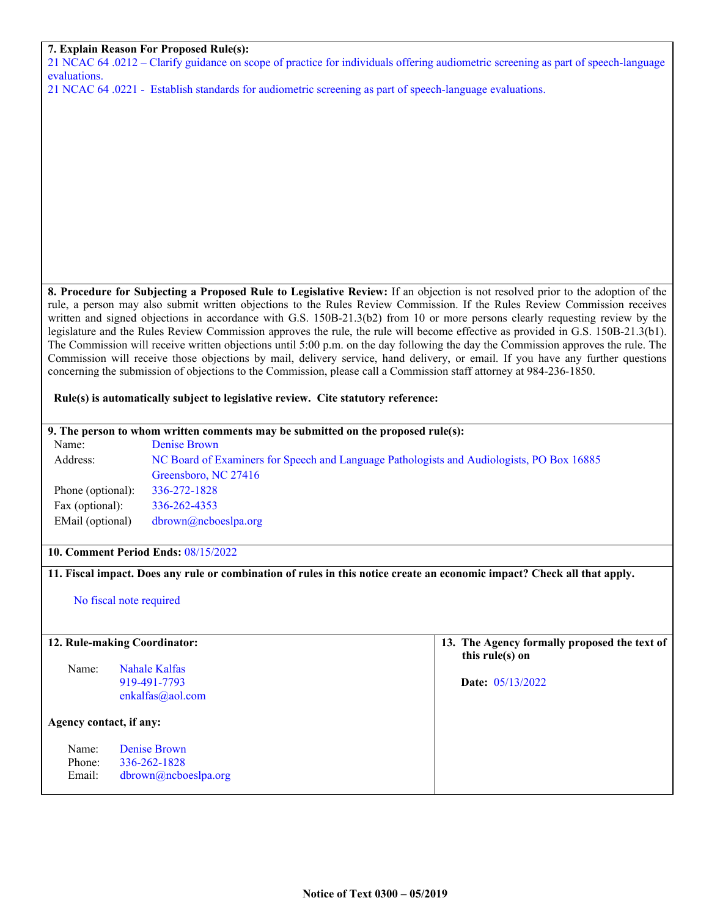### **7. Explain Reason For Proposed Rule(s):**

21 NCAC 64 .0212 – Clarify guidance on scope of practice for individuals offering audiometric screening as part of speech-language evaluations.

21 NCAC 64 .0221 - Establish standards for audiometric screening as part of speech-language evaluations.

**8. Procedure for Subjecting a Proposed Rule to Legislative Review:** If an objection is not resolved prior to the adoption of the rule, a person may also submit written objections to the Rules Review Commission. If the Rules Review Commission receives written and signed objections in accordance with G.S. 150B-21.3(b2) from 10 or more persons clearly requesting review by the legislature and the Rules Review Commission approves the rule, the rule will become effective as provided in G.S. 150B-21.3(b1). The Commission will receive written objections until 5:00 p.m. on the day following the day the Commission approves the rule. The Commission will receive those objections by mail, delivery service, hand delivery, or email. If you have any further questions concerning the submission of objections to the Commission, please call a Commission staff attorney at 984-236-1850.

#### **Rule(s) is automatically subject to legislative review. Cite statutory reference:**

# **9. The person to whom written comments may be submitted on the proposed rule(s):** Name: Denise Brown Address: NC Board of Examiners for Speech and Language Pathologists and Audiologists, PO Box 16885 Greensboro, NC 27416 Phone (optional): 336-272-1828 Fax (optional): 336-262-4353 EMail (optional) dbrown@ncboeslpa.org **10. Comment Period Ends:** 08/15/2022

## 11. Fiscal impact. Does any rule or combination of rules in this notice create an economic impact? Check all that apply.

No fiscal note required

| 12. Rule-making Coordinator: |                                                      | 13. The Agency formally proposed the text of<br>this rule(s) on |
|------------------------------|------------------------------------------------------|-----------------------------------------------------------------|
| Name:                        | Nahale Kalfas<br>919-491-7793<br>enkalfas@aol.com    | <b>Date:</b> $05/13/2022$                                       |
| Agency contact, if any:      |                                                      |                                                                 |
| Name:<br>Phone:<br>Email:    | Denise Brown<br>336-262-1828<br>dbrown@nchoeslpa.org |                                                                 |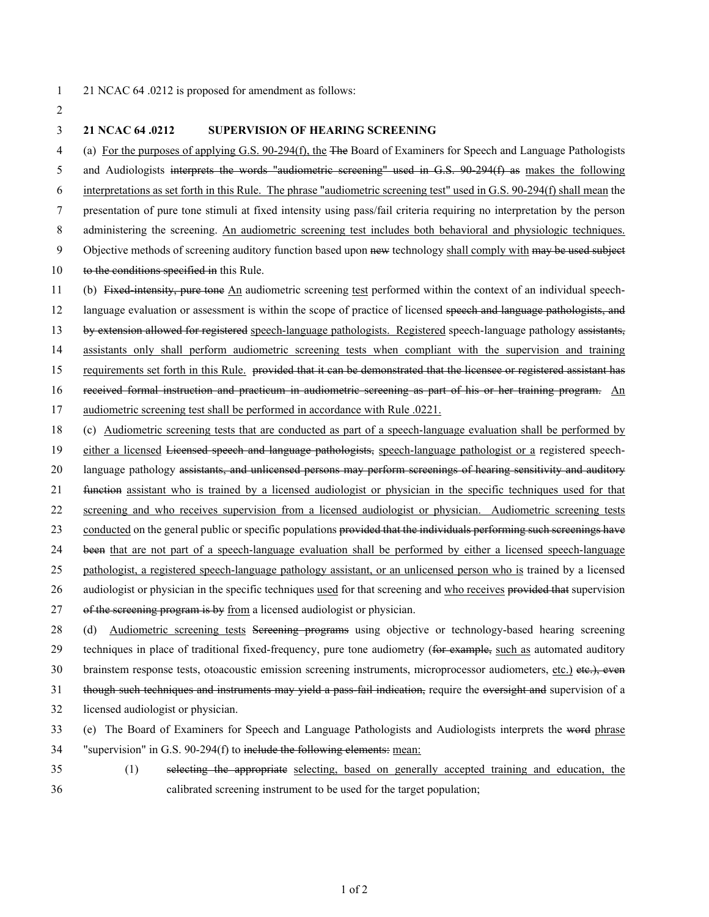# 21 NCAC 64 .0212 is proposed for amendment as follows:

- **21 NCAC 64 .0212 SUPERVISION OF HEARING SCREENING**
- (a) For the purposes of applying G.S. 90-294(f), the The Board of Examiners for Speech and Language Pathologists
- and Audiologists interprets the words "audiometric screening" used in G.S. 90-294(f) as makes the following
- interpretations as set forth in this Rule. The phrase "audiometric screening test" used in G.S. 90-294(f) shall mean the
- presentation of pure tone stimuli at fixed intensity using pass/fail criteria requiring no interpretation by the person
- administering the screening. An audiometric screening test includes both behavioral and physiologic techniques.
- 9 Objective methods of screening auditory function based upon new technology shall comply with may be used subject
- 10 to the conditions specified in this Rule.
- (b) Fixed-intensity, pure tone An audiometric screening test performed within the context of an individual speech-12 language evaluation or assessment is within the scope of practice of licensed speech and language pathologists, and 13 by extension allowed for registered speech-language pathologists. Registered speech-language pathology assistants, assistants only shall perform audiometric screening tests when compliant with the supervision and training 15 requirements set forth in this Rule. provided that it can be demonstrated that the licensee or registered assistant has
- received formal instruction and practicum in audiometric screening as part of his or her training program. An
- audiometric screening test shall be performed in accordance with Rule .0221.
- (c) Audiometric screening tests that are conducted as part of a speech-language evaluation shall be performed by
- 19 either a licensed Licensed speech and language pathologists, speech-language pathologist or a registered speech-
- 20 language pathology assistants, and unlicensed persons may perform screenings of hearing sensitivity and auditory
- function assistant who is trained by a licensed audiologist or physician in the specific techniques used for that
- screening and who receives supervision from a licensed audiologist or physician. Audiometric screening tests
- 23 conducted on the general public or specific populations provided that the individuals performing such screenings have
- been that are not part of a speech-language evaluation shall be performed by either a licensed speech-language
- pathologist, a registered speech-language pathology assistant, or an unlicensed person who is trained by a licensed
- 26 audiologist or physician in the specific techniques used for that screening and who receives provided that supervision
- 27 of the screening program is by from a licensed audiologist or physician.
- 28 (d) Audiometric screening tests Sereening programs using objective or technology-based hearing screening 29 techniques in place of traditional fixed-frequency, pure tone audiometry (for example, such as automated auditory 30 brainstem response tests, otoacoustic emission screening instruments, microprocessor audiometers, etc.) etc.), even 31 though such techniques and instruments may yield a pass-fail indication, require the oversight and supervision of a
- licensed audiologist or physician.
- (e) The Board of Examiners for Speech and Language Pathologists and Audiologists interprets the word phrase
- "supervision" in G.S. 90-294(f) to include the following elements: mean:
- (1) selecting the appropriate selecting, based on generally accepted training and education, the calibrated screening instrument to be used for the target population;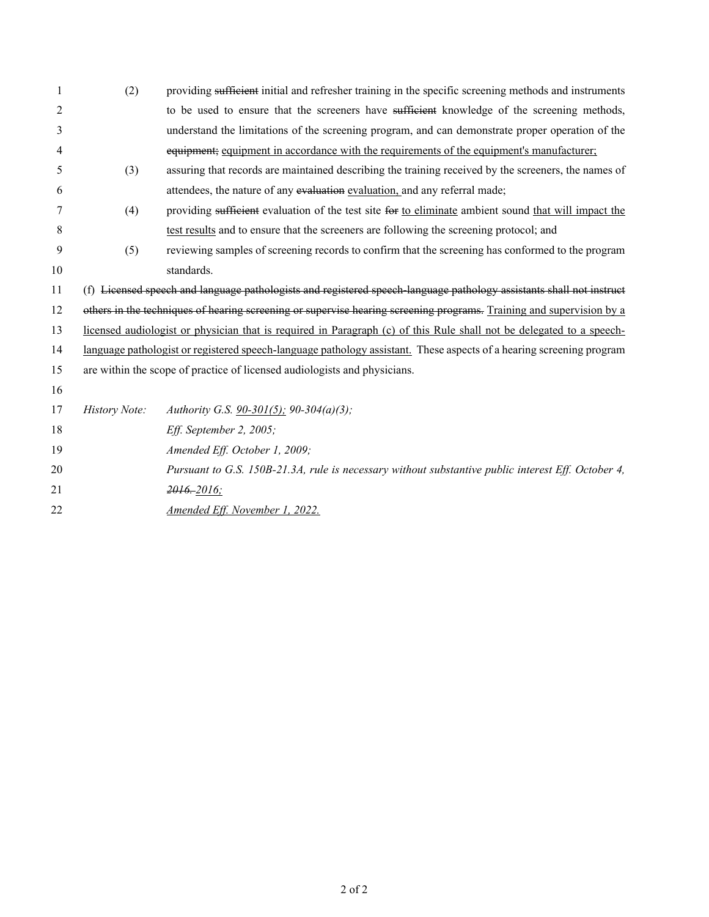| 1  | (2)           | providing sufficient initial and refresher training in the specific screening methods and instruments                |  |  |
|----|---------------|----------------------------------------------------------------------------------------------------------------------|--|--|
| 2  |               | to be used to ensure that the screeners have sufficient knowledge of the screening methods,                          |  |  |
| 3  |               | understand the limitations of the screening program, and can demonstrate proper operation of the                     |  |  |
| 4  |               | equipment; equipment in accordance with the requirements of the equipment's manufacturer;                            |  |  |
| 5  | (3)           | assuring that records are maintained describing the training received by the screeners, the names of                 |  |  |
| 6  |               | attendees, the nature of any evaluation evaluation, and any referral made;                                           |  |  |
| 7  | (4)           | providing sufficient evaluation of the test site for to eliminate ambient sound that will impact the                 |  |  |
| 8  |               | test results and to ensure that the screeners are following the screening protocol; and                              |  |  |
| 9  | (5)           | reviewing samples of screening records to confirm that the screening has conformed to the program                    |  |  |
| 10 |               | standards.                                                                                                           |  |  |
| 11 |               | (f) Licensed speech and language pathologists and registered speech-language pathology assistants shall not instruct |  |  |
| 12 |               | others in the techniques of hearing screening or supervise hearing screening programs. Training and supervision by a |  |  |
| 13 |               | licensed audiologist or physician that is required in Paragraph (c) of this Rule shall not be delegated to a speech- |  |  |
| 14 |               | language pathologist or registered speech-language pathology assistant. These aspects of a hearing screening program |  |  |
| 15 |               | are within the scope of practice of licensed audiologists and physicians.                                            |  |  |
| 16 |               |                                                                                                                      |  |  |
| 17 | History Note: | Authority G.S. 90-301(5); 90-304(a)(3);                                                                              |  |  |
| 18 |               | Eff. September 2, 2005;                                                                                              |  |  |
| 19 |               | Amended Eff. October 1, 2009;                                                                                        |  |  |
| 20 |               | Pursuant to G.S. 150B-21.3A, rule is necessary without substantive public interest Eff. October 4,                   |  |  |
| 21 |               | $2016 - 2016$ ;                                                                                                      |  |  |
| 22 |               | Amended Eff. November 1, 2022.                                                                                       |  |  |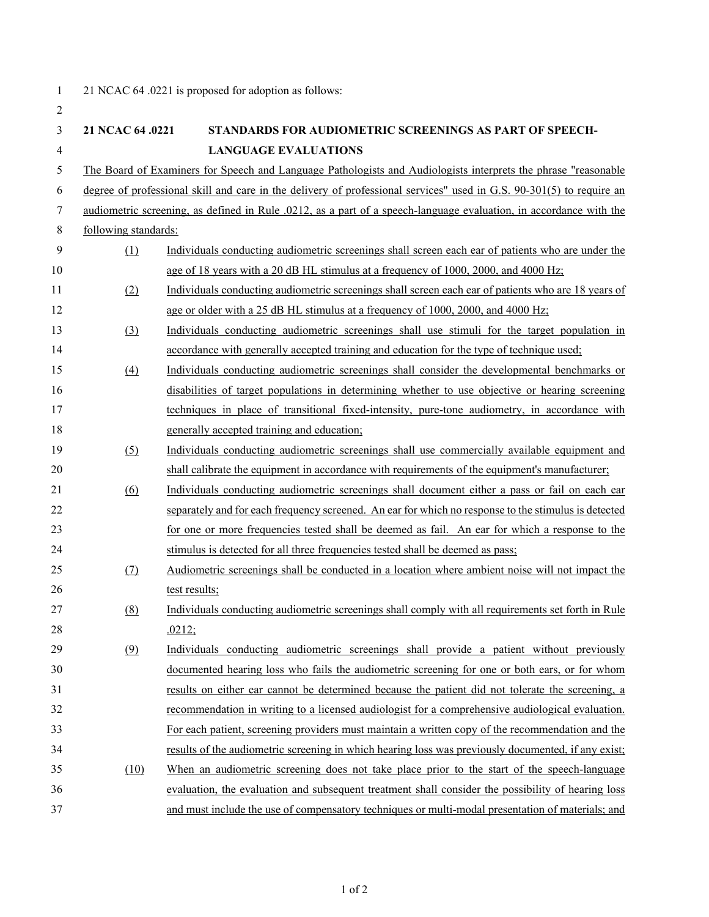| $\mathbf{1}$   | 21 NCAC 64 .0221 is proposed for adoption as follows:                                                                |                                                                                                                 |  |  |
|----------------|----------------------------------------------------------------------------------------------------------------------|-----------------------------------------------------------------------------------------------------------------|--|--|
| $\overline{2}$ |                                                                                                                      |                                                                                                                 |  |  |
| 3              | 21 NCAC 64 .0221                                                                                                     | STANDARDS FOR AUDIOMETRIC SCREENINGS AS PART OF SPEECH-                                                         |  |  |
| $\overline{4}$ |                                                                                                                      | <b>LANGUAGE EVALUATIONS</b>                                                                                     |  |  |
| 5              |                                                                                                                      | The Board of Examiners for Speech and Language Pathologists and Audiologists interprets the phrase "reasonable" |  |  |
| 6              | degree of professional skill and care in the delivery of professional services" used in G.S. 90-301(5) to require an |                                                                                                                 |  |  |
| 7              | audiometric screening, as defined in Rule .0212, as a part of a speech-language evaluation, in accordance with the   |                                                                                                                 |  |  |
| $\,8\,$        | following standards:                                                                                                 |                                                                                                                 |  |  |
| 9              | (1)                                                                                                                  | Individuals conducting audiometric screenings shall screen each ear of patients who are under the               |  |  |
| 10             |                                                                                                                      | age of 18 years with a 20 dB HL stimulus at a frequency of 1000, 2000, and 4000 Hz;                             |  |  |
| 11             | (2)                                                                                                                  | Individuals conducting audiometric screenings shall screen each ear of patients who are 18 years of             |  |  |
| 12             |                                                                                                                      | age or older with a 25 dB HL stimulus at a frequency of 1000, 2000, and 4000 Hz;                                |  |  |
| 13             | (3)                                                                                                                  | Individuals conducting audiometric screenings shall use stimuli for the target population in                    |  |  |
| 14             |                                                                                                                      | accordance with generally accepted training and education for the type of technique used;                       |  |  |
| 15             | (4)                                                                                                                  | Individuals conducting audiometric screenings shall consider the developmental benchmarks or                    |  |  |
| 16             |                                                                                                                      | disabilities of target populations in determining whether to use objective or hearing screening                 |  |  |
| 17             |                                                                                                                      | techniques in place of transitional fixed-intensity, pure-tone audiometry, in accordance with                   |  |  |
| 18             |                                                                                                                      | generally accepted training and education;                                                                      |  |  |
| 19             | (5)                                                                                                                  | Individuals conducting audiometric screenings shall use commercially available equipment and                    |  |  |
| 20             |                                                                                                                      | shall calibrate the equipment in accordance with requirements of the equipment's manufacturer;                  |  |  |
| 21             | (6)                                                                                                                  | Individuals conducting audiometric screenings shall document either a pass or fail on each ear                  |  |  |
| 22             |                                                                                                                      | separately and for each frequency screened. An ear for which no response to the stimulus is detected            |  |  |
| 23             |                                                                                                                      | for one or more frequencies tested shall be deemed as fail. An ear for which a response to the                  |  |  |
| 24             |                                                                                                                      | stimulus is detected for all three frequencies tested shall be deemed as pass;                                  |  |  |
| 25             | (7)                                                                                                                  | Audiometric screenings shall be conducted in a location where ambient noise will not impact the                 |  |  |
| 26             |                                                                                                                      | test results;                                                                                                   |  |  |
| 27             | (8)                                                                                                                  | Individuals conducting audiometric screenings shall comply with all requirements set forth in Rule              |  |  |
| 28             |                                                                                                                      | .0212;                                                                                                          |  |  |
| 29             | (9)                                                                                                                  | Individuals conducting audiometric screenings shall provide a patient without previously                        |  |  |
| 30             |                                                                                                                      | documented hearing loss who fails the audiometric screening for one or both ears, or for whom                   |  |  |
| 31             |                                                                                                                      | results on either ear cannot be determined because the patient did not tolerate the screening, a                |  |  |
| 32             |                                                                                                                      | recommendation in writing to a licensed audiologist for a comprehensive audiological evaluation.                |  |  |
| 33             |                                                                                                                      | For each patient, screening providers must maintain a written copy of the recommendation and the                |  |  |
| 34             |                                                                                                                      | results of the audiometric screening in which hearing loss was previously documented, if any exist;             |  |  |
| 35             | (10)                                                                                                                 | When an audiometric screening does not take place prior to the start of the speech-language                     |  |  |
| 36             |                                                                                                                      | evaluation, the evaluation and subsequent treatment shall consider the possibility of hearing loss              |  |  |
| 37             |                                                                                                                      | and must include the use of compensatory techniques or multi-modal presentation of materials; and               |  |  |